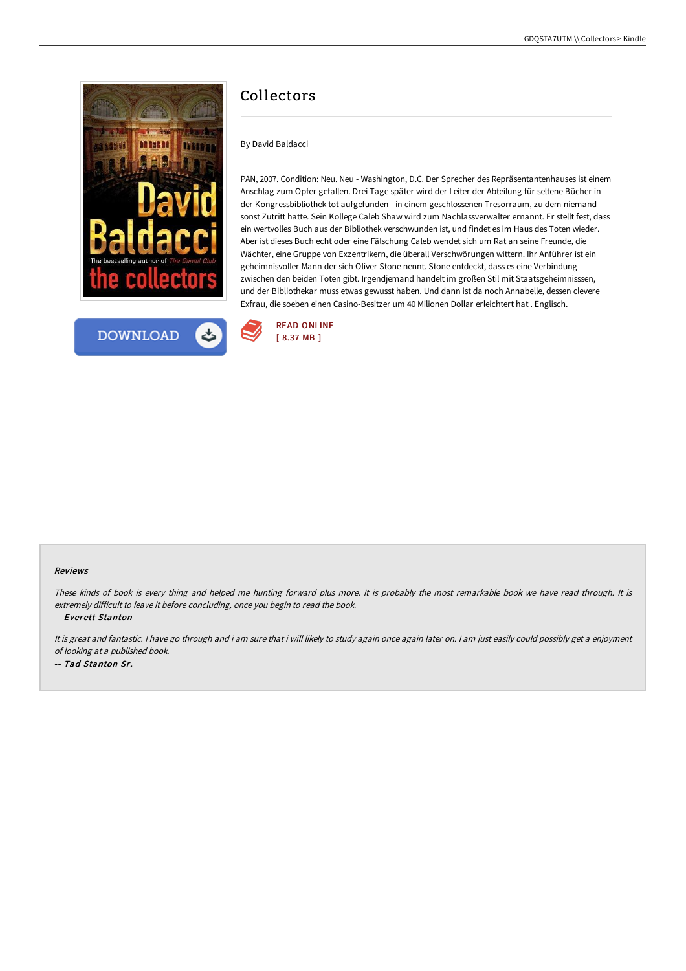



# Collectors

By David Baldacci

PAN, 2007. Condition: Neu. Neu - Washington, D.C. Der Sprecher des Repräsentantenhauses ist einem Anschlag zum Opfer gefallen. Drei Tage später wird der Leiter der Abteilung für seltene Bücher in der Kongressbibliothek tot aufgefunden - in einem geschlossenen Tresorraum, zu dem niemand sonst Zutritt hatte. Sein Kollege Caleb Shaw wird zum Nachlassverwalter ernannt. Er stellt fest, dass ein wertvolles Buch aus der Bibliothek verschwunden ist, und findet es im Haus des Toten wieder. Aber ist dieses Buch echt oder eine Fälschung Caleb wendet sich um Rat an seine Freunde, die Wächter, eine Gruppe von Exzentrikern, die überall Verschwörungen wittern. Ihr Anführer ist ein geheimnisvoller Mann der sich Oliver Stone nennt. Stone entdeckt, dass es eine Verbindung zwischen den beiden Toten gibt. Irgendjemand handelt im großen Stil mit Staatsgeheimnisssen, und der Bibliothekar muss etwas gewusst haben. Und dann ist da noch Annabelle, dessen clevere Exfrau, die soeben einen Casino-Besitzer um 40 Milionen Dollar erleichtert hat . Englisch.



#### Reviews

These kinds of book is every thing and helped me hunting forward plus more. It is probably the most remarkable book we have read through. It is extremely difficult to leave it before concluding, once you begin to read the book.

-- Everett Stanton

It is great and fantastic. <sup>I</sup> have go through and i am sure that i will likely to study again once again later on. <sup>I</sup> am just easily could possibly get <sup>a</sup> enjoyment of looking at <sup>a</sup> published book.

-- Tad Stanton Sr.